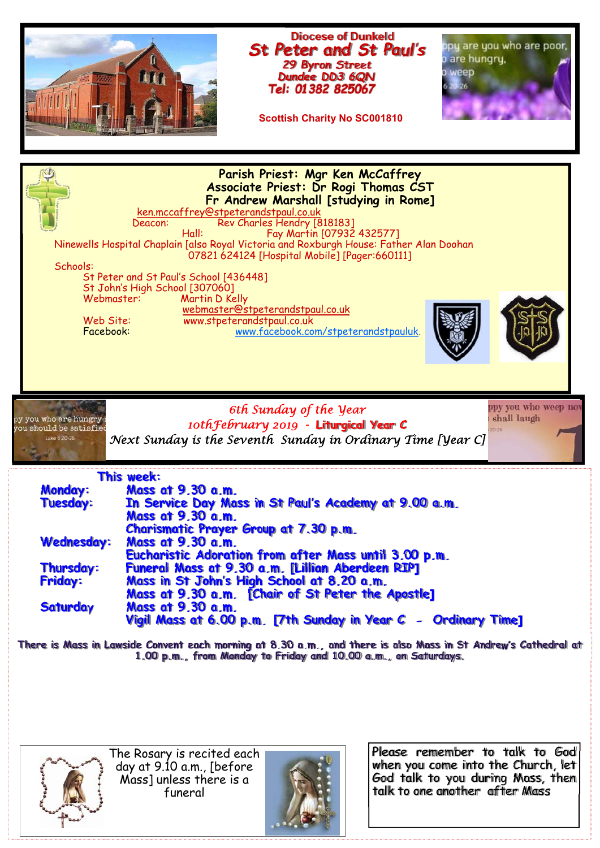



The Rosary is recited each day at 9.10 a.m., [before Mass] unless there is a funeral



Please remember to talk to God when you come into the Church, let God talk to you during Mass, then talk to one another after Mass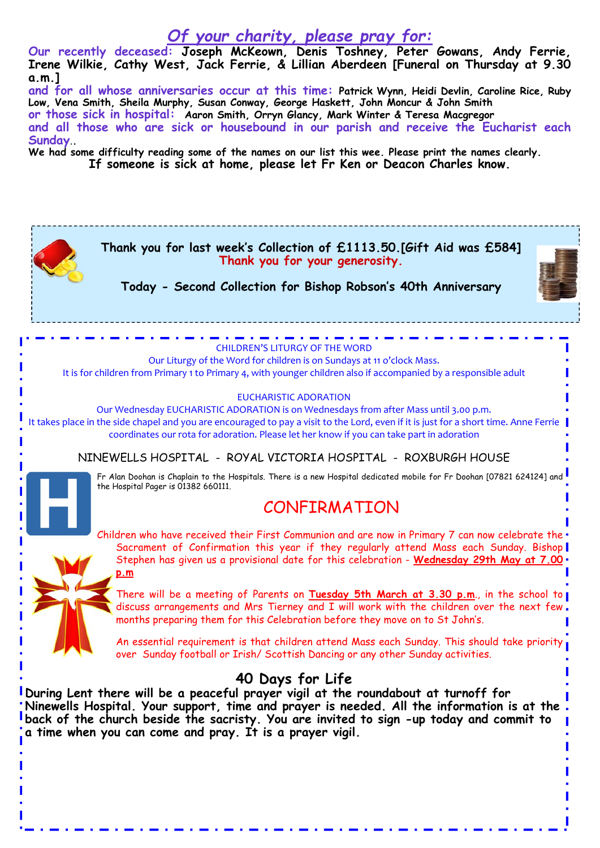## *Of your charity, please pray for:*

**Our recently deceased: Joseph McKeown, Denis Toshney, Peter Gowans, Andy Ferrie, Irene Wilkie, Cathy West, Jack Ferrie, & Lillian Aberdeen [Funeral on Thursday at 9.30 a.m.]** 

**and for all whose anniversaries occur at this time: Patrick Wynn, Heidi Devlin, Caroline Rice, Ruby Low, Vena Smith, Sheila Murphy, Susan Conway, George Haskett, John Moncur & John Smith or those sick in hospital: Aaron Smith, Orryn Glancy, Mark Winter & Teresa Macgregor and all those who are sick or housebound in our parish and receive the Eucharist each Sunday**.**.** 

**We had some difficulty reading some of the names on our list this wee. Please print the names clearly.** 

**If someone is sick at home, please let Fr Ken or Deacon Charles know.** 

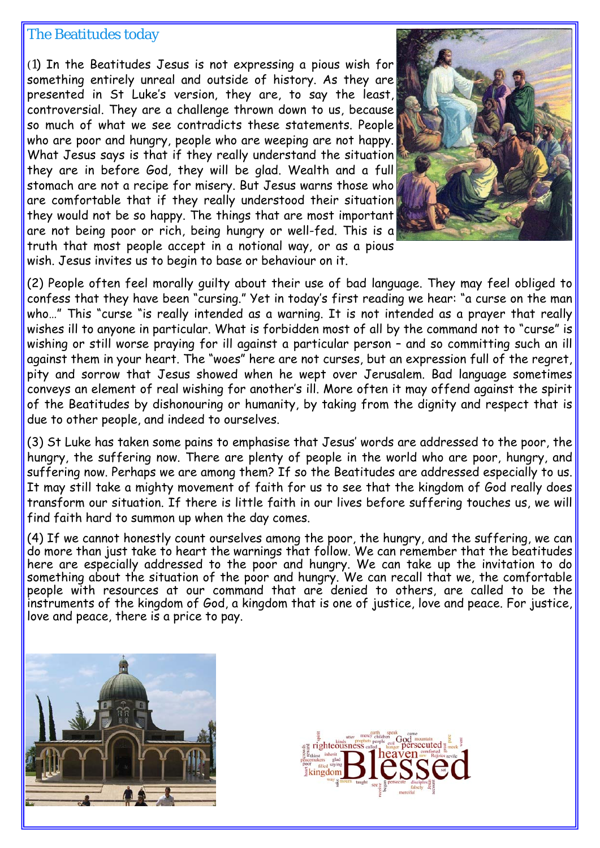## The Beatitudes today

(1) In the Beatitudes Jesus is not expressing a pious wish for something entirely unreal and outside of history. As they are presented in St Luke's version, they are, to say the least, controversial. They are a challenge thrown down to us, because so much of what we see contradicts these statements. People who are poor and hungry, people who are weeping are not happy. What Jesus says is that if they really understand the situation they are in before God, they will be glad. Wealth and a full stomach are not a recipe for misery. But Jesus warns those who are comfortable that if they really understood their situation they would not be so happy. The things that are most important are not being poor or rich, being hungry or well-fed. This is a truth that most people accept in a notional way, or as a pious wish. Jesus invites us to begin to base or behaviour on it.



(2) People often feel morally guilty about their use of bad language. They may feel obliged to confess that they have been "cursing." Yet in today's first reading we hear: "a curse on the man who..." This "curse "is really intended as a warning. It is not intended as a prayer that really wishes ill to anyone in particular. What is forbidden most of all by the command not to "curse" is wishing or still worse praying for ill against a particular person - and so committing such an ill against them in your heart. The "woes" here are not curses, but an expression full of the regret, pity and sorrow that Jesus showed when he wept over Jerusalem. Bad language sometimes conveys an element of real wishing for another's ill. More often it may offend against the spirit of the Beatitudes by dishonouring or humanity, by taking from the dignity and respect that is due to other people, and indeed to ourselves.

(3) St Luke has taken some pains to emphasise that Jesus' words are addressed to the poor, the hungry, the suffering now. There are plenty of people in the world who are poor, hungry, and suffering now. Perhaps we are among them? If so the Beatitudes are addressed especially to us. It may still take a mighty movement of faith for us to see that the kingdom of God really does transform our situation. If there is little faith in our lives before suffering touches us, we will find faith hard to summon up when the day comes.

(4) If we cannot honestly count ourselves among the poor, the hungry, and the suffering, we can do more than just take to heart the warnings that follow. We can remember that the beatitudes here are especially addressed to the poor and hungry. We can take up the invitation to do something about the situation of the poor and hungry. We can recall that we, the comfortable people with resources at our command that are denied to others, are called to be the instruments of the kingdom of God, a kingdom that is one of justice, love and peace. For justice, love and peace, there is a price to pay.